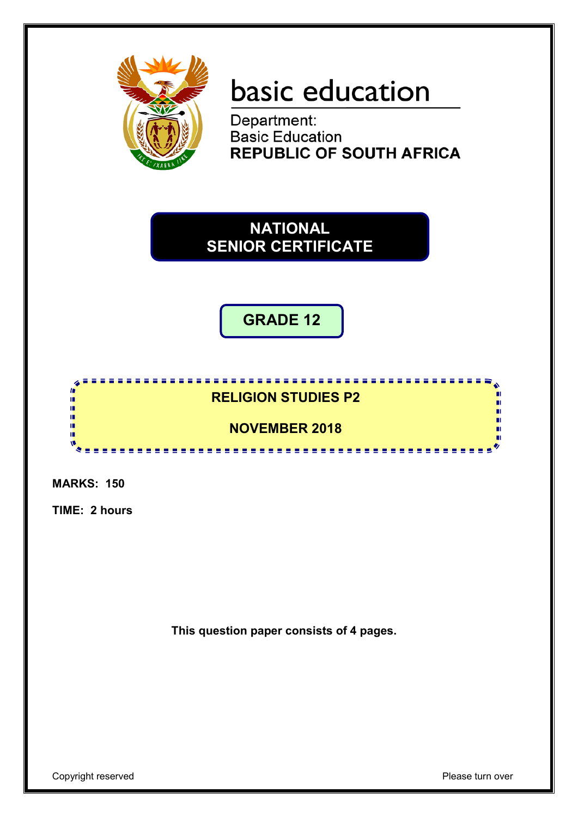

# basic education

Department: **Basic Education REPUBLIC OF SOUTH AFRICA** 

**NATIONAL SENIOR CERTIFICATE**

**GRADE 12**

# **RELIGION STUDIES P2**

<u>...................</u>

<u>......................</u>

# **NOVEMBER 2018**

**MARKS: 150**

**In** ú, j. ΙÚ,

τ'n, œ

**TIME: 2 hours**

**This question paper consists of 4 pages.**

n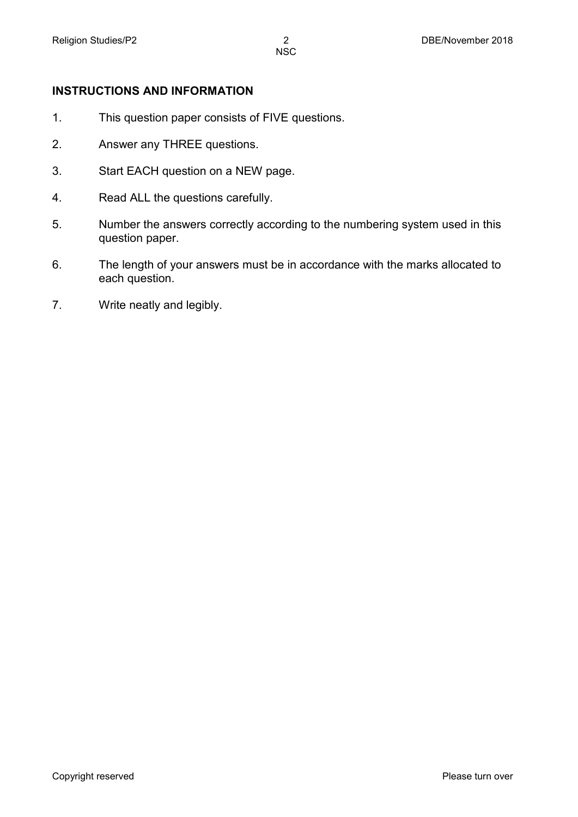## **INSTRUCTIONS AND INFORMATION**

- 1. This question paper consists of FIVE questions.
- 2. Answer any THREE questions.
- 3. Start EACH question on a NEW page.
- 4. Read ALL the questions carefully.
- 5. Number the answers correctly according to the numbering system used in this question paper.
- 6. The length of your answers must be in accordance with the marks allocated to each question.
- 7. Write neatly and legibly.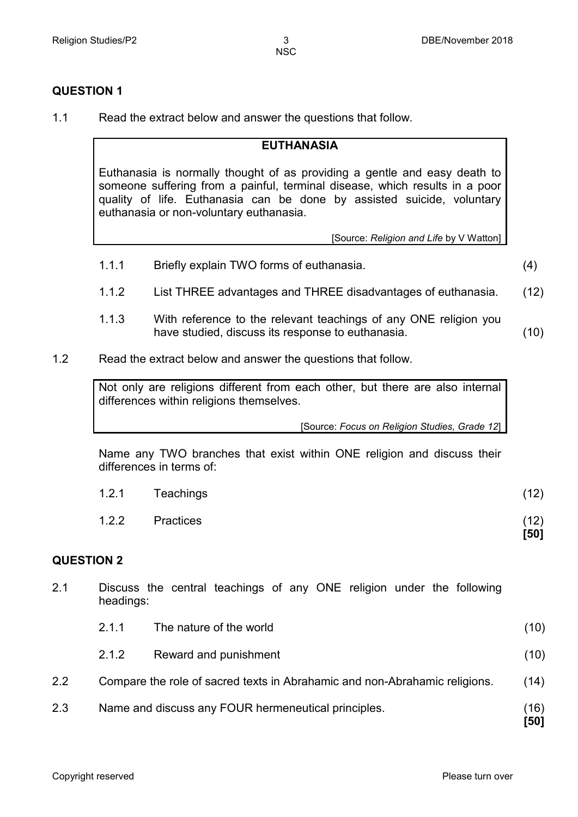### **QUESTION 1**

1.1 Read the extract below and answer the questions that follow.

#### **EUTHANASIA**

Euthanasia is normally thought of as providing a gentle and easy death to someone suffering from a painful, terminal disease, which results in a poor quality of life. Euthanasia can be done by assisted suicide, voluntary euthanasia or non-voluntary euthanasia.

[Source: *Religion and Life* by V Watton]

- 1.1.1 Briefly explain TWO forms of euthanasia. (4)
- 1.1.2 List THREE advantages and THREE disadvantages of euthanasia. (12)
- 1.1.3 With reference to the relevant teachings of any ONE religion you have studied, discuss its response to euthanasia. (10)
- 1.2 Read the extract below and answer the questions that follow.

Not only are religions different from each other, but there are also internal differences within religions themselves.

[Source: *Focus on Religion Studies, Grade 12*]

Name any TWO branches that exist within ONE religion and discuss their differences in terms of:

| 1.2.2 | Practices | (12)<br>[50] |
|-------|-----------|--------------|
| 1.2.1 | Teachings | (12)         |

#### **QUESTION 2**

2.1 Discuss the central teachings of any ONE religion under the following headings:

| 2.1.1 | The nature of the world | (10) |
|-------|-------------------------|------|
| 2.1.2 | Reward and punishment   | (10) |

- 2.2 Compare the role of sacred texts in Abrahamic and non-Abrahamic religions. (14)
- 2.3 Name and discuss any FOUR hermeneutical principles. (16)

**[50]**